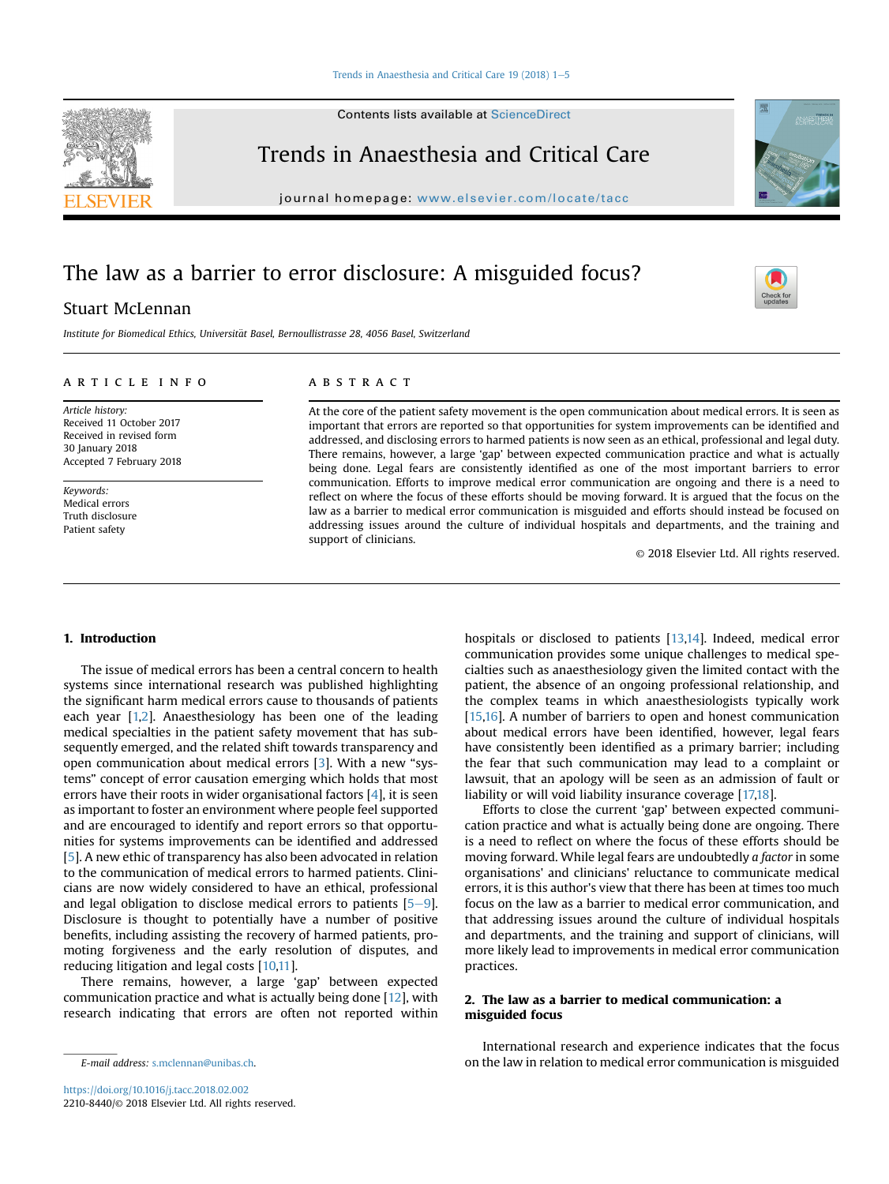### Trends in Anaesthesia and Critical Care  $19$  (2018)  $1-5$  $1-5$

Contents lists available at ScienceDirect

# Trends in Anaesthesia and Critical Care

journal homepage: [www.elsevier.com/locate/tacc](http://www.elsevier.com/locate/tacc)

# The law as a barrier to error disclosure: A misguided focus?

# Stuart McLennan

Institute for Biomedical Ethics, Universität Basel, Bernoullistrasse 28, 4056 Basel, Switzerland

### article info

Article history: Received 11 October 2017 Received in revised form 30 January 2018 Accepted 7 February 2018

Keywords: Medical errors Truth disclosure Patient safety

## **ABSTRACT**

At the core of the patient safety movement is the open communication about medical errors. It is seen as important that errors are reported so that opportunities for system improvements can be identified and addressed, and disclosing errors to harmed patients is now seen as an ethical, professional and legal duty. There remains, however, a large 'gap' between expected communication practice and what is actually being done. Legal fears are consistently identified as one of the most important barriers to error communication. Efforts to improve medical error communication are ongoing and there is a need to reflect on where the focus of these efforts should be moving forward. It is argued that the focus on the law as a barrier to medical error communication is misguided and efforts should instead be focused on addressing issues around the culture of individual hospitals and departments, and the training and support of clinicians.

© 2018 Elsevier Ltd. All rights reserved.

## 1. Introduction

The issue of medical errors has been a central concern to health systems since international research was published highlighting the significant harm medical errors cause to thousands of patients each year [[1,2](#page-3-0)]. Anaesthesiology has been one of the leading medical specialties in the patient safety movement that has subsequently emerged, and the related shift towards transparency and open communication about medical errors [\[3\]](#page-3-0). With a new "systems" concept of error causation emerging which holds that most errors have their roots in wider organisational factors [[4](#page-3-0)], it is seen as important to foster an environment where people feel supported and are encouraged to identify and report errors so that opportunities for systems improvements can be identified and addressed [\[5](#page-3-0)]. A new ethic of transparency has also been advocated in relation to the communication of medical errors to harmed patients. Clinicians are now widely considered to have an ethical, professional and legal obligation to disclose medical errors to patients  $[5-9]$  $[5-9]$  $[5-9]$ . Disclosure is thought to potentially have a number of positive benefits, including assisting the recovery of harmed patients, promoting forgiveness and the early resolution of disputes, and reducing litigation and legal costs [[10,11\]](#page-3-0).

There remains, however, a large 'gap' between expected communication practice and what is actually being done [\[12](#page-3-0)], with research indicating that errors are often not reported within

communication provides some unique challenges to medical specialties such as anaesthesiology given the limited contact with the patient, the absence of an ongoing professional relationship, and the complex teams in which anaesthesiologists typically work [\[15,16\]](#page-3-0). A number of barriers to open and honest communication about medical errors have been identified, however, legal fears have consistently been identified as a primary barrier; including the fear that such communication may lead to a complaint or lawsuit, that an apology will be seen as an admission of fault or liability or will void liability insurance coverage [\[17,18\]](#page-3-0).

hospitals or disclosed to patients [[13,14\]](#page-3-0). Indeed, medical error

Efforts to close the current 'gap' between expected communication practice and what is actually being done are ongoing. There is a need to reflect on where the focus of these efforts should be moving forward. While legal fears are undoubtedly a factor in some organisations' and clinicians' reluctance to communicate medical errors, it is this author's view that there has been at times too much focus on the law as a barrier to medical error communication, and that addressing issues around the culture of individual hospitals and departments, and the training and support of clinicians, will more likely lead to improvements in medical error communication practices.

## 2. The law as a barrier to medical communication: a misguided focus

International research and experience indicates that the focus E-mail address: [s.mclennan@unibas.ch](mailto:s.mclennan@unibas.ch). on the law in relation to medical error communication is misguided



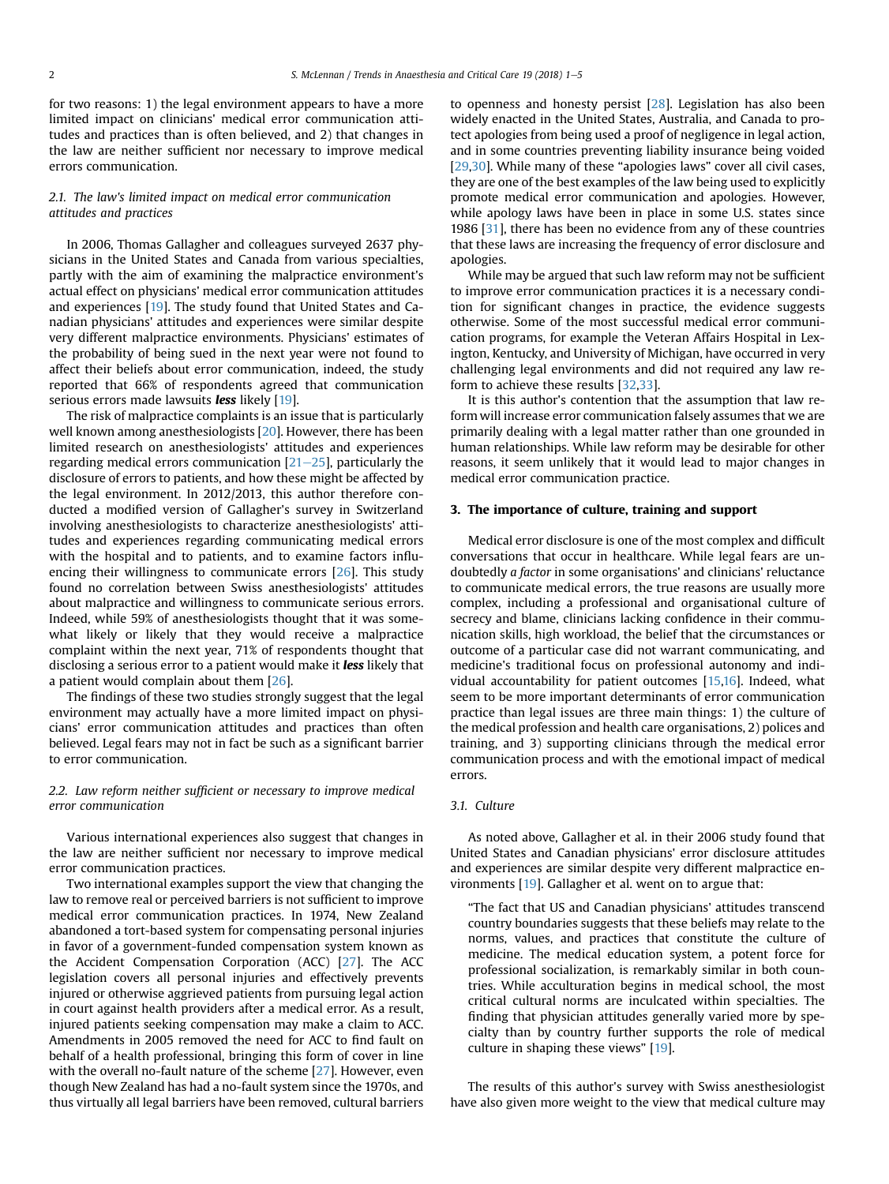for two reasons: 1) the legal environment appears to have a more limited impact on clinicians' medical error communication attitudes and practices than is often believed, and 2) that changes in the law are neither sufficient nor necessary to improve medical errors communication.

## 2.1. The law's limited impact on medical error communication attitudes and practices

In 2006, Thomas Gallagher and colleagues surveyed 2637 physicians in the United States and Canada from various specialties, partly with the aim of examining the malpractice environment's actual effect on physicians' medical error communication attitudes and experiences [[19](#page-3-0)]. The study found that United States and Canadian physicians' attitudes and experiences were similar despite very different malpractice environments. Physicians' estimates of the probability of being sued in the next year were not found to affect their beliefs about error communication, indeed, the study reported that 66% of respondents agreed that communication serious errors made lawsuits less likely [[19\]](#page-3-0).

The risk of malpractice complaints is an issue that is particularly well known among anesthesiologists [[20](#page-3-0)]. However, there has been limited research on anesthesiologists' attitudes and experiences regarding medical errors communication  $[21–25]$  $[21–25]$  $[21–25]$  $[21–25]$  $[21–25]$ , particularly the disclosure of errors to patients, and how these might be affected by the legal environment. In 2012/2013, this author therefore conducted a modified version of Gallagher's survey in Switzerland involving anesthesiologists to characterize anesthesiologists' attitudes and experiences regarding communicating medical errors with the hospital and to patients, and to examine factors influencing their willingness to communicate errors [[26](#page-3-0)]. This study found no correlation between Swiss anesthesiologists' attitudes about malpractice and willingness to communicate serious errors. Indeed, while 59% of anesthesiologists thought that it was somewhat likely or likely that they would receive a malpractice complaint within the next year, 71% of respondents thought that disclosing a serious error to a patient would make it **less** likely that a patient would complain about them [\[26\]](#page-3-0).

The findings of these two studies strongly suggest that the legal environment may actually have a more limited impact on physicians' error communication attitudes and practices than often believed. Legal fears may not in fact be such as a significant barrier to error communication.

## 2.2. Law reform neither sufficient or necessary to improve medical error communication

Various international experiences also suggest that changes in the law are neither sufficient nor necessary to improve medical error communication practices.

Two international examples support the view that changing the law to remove real or perceived barriers is not sufficient to improve medical error communication practices. In 1974, New Zealand abandoned a tort-based system for compensating personal injuries in favor of a government-funded compensation system known as the Accident Compensation Corporation (ACC) [\[27\]](#page-3-0). The ACC legislation covers all personal injuries and effectively prevents injured or otherwise aggrieved patients from pursuing legal action in court against health providers after a medical error. As a result, injured patients seeking compensation may make a claim to ACC. Amendments in 2005 removed the need for ACC to find fault on behalf of a health professional, bringing this form of cover in line with the overall no-fault nature of the scheme [[27](#page-3-0)]. However, even though New Zealand has had a no-fault system since the 1970s, and thus virtually all legal barriers have been removed, cultural barriers to openness and honesty persist  $[28]$ . Legislation has also been widely enacted in the United States, Australia, and Canada to protect apologies from being used a proof of negligence in legal action, and in some countries preventing liability insurance being voided [[29,30\]](#page-3-0). While many of these "apologies laws" cover all civil cases, they are one of the best examples of the law being used to explicitly promote medical error communication and apologies. However, while apology laws have been in place in some U.S. states since 1986 [[31\]](#page-4-0), there has been no evidence from any of these countries that these laws are increasing the frequency of error disclosure and apologies.

While may be argued that such law reform may not be sufficient to improve error communication practices it is a necessary condition for significant changes in practice, the evidence suggests otherwise. Some of the most successful medical error communication programs, for example the Veteran Affairs Hospital in Lexington, Kentucky, and University of Michigan, have occurred in very challenging legal environments and did not required any law reform to achieve these results [\[32,33\]](#page-4-0).

It is this author's contention that the assumption that law reform will increase error communication falsely assumes that we are primarily dealing with a legal matter rather than one grounded in human relationships. While law reform may be desirable for other reasons, it seem unlikely that it would lead to major changes in medical error communication practice.

## 3. The importance of culture, training and support

Medical error disclosure is one of the most complex and difficult conversations that occur in healthcare. While legal fears are undoubtedly a factor in some organisations' and clinicians' reluctance to communicate medical errors, the true reasons are usually more complex, including a professional and organisational culture of secrecy and blame, clinicians lacking confidence in their communication skills, high workload, the belief that the circumstances or outcome of a particular case did not warrant communicating, and medicine's traditional focus on professional autonomy and individual accountability for patient outcomes [\[15,16](#page-3-0)]. Indeed, what seem to be more important determinants of error communication practice than legal issues are three main things: 1) the culture of the medical profession and health care organisations, 2) polices and training, and 3) supporting clinicians through the medical error communication process and with the emotional impact of medical errors.

## 3.1. Culture

As noted above, Gallagher et al. in their 2006 study found that United States and Canadian physicians' error disclosure attitudes and experiences are similar despite very different malpractice environments [[19\]](#page-3-0). Gallagher et al. went on to argue that:

"The fact that US and Canadian physicians' attitudes transcend country boundaries suggests that these beliefs may relate to the norms, values, and practices that constitute the culture of medicine. The medical education system, a potent force for professional socialization, is remarkably similar in both countries. While acculturation begins in medical school, the most critical cultural norms are inculcated within specialties. The finding that physician attitudes generally varied more by specialty than by country further supports the role of medical culture in shaping these views" [\[19](#page-3-0)].

The results of this author's survey with Swiss anesthesiologist have also given more weight to the view that medical culture may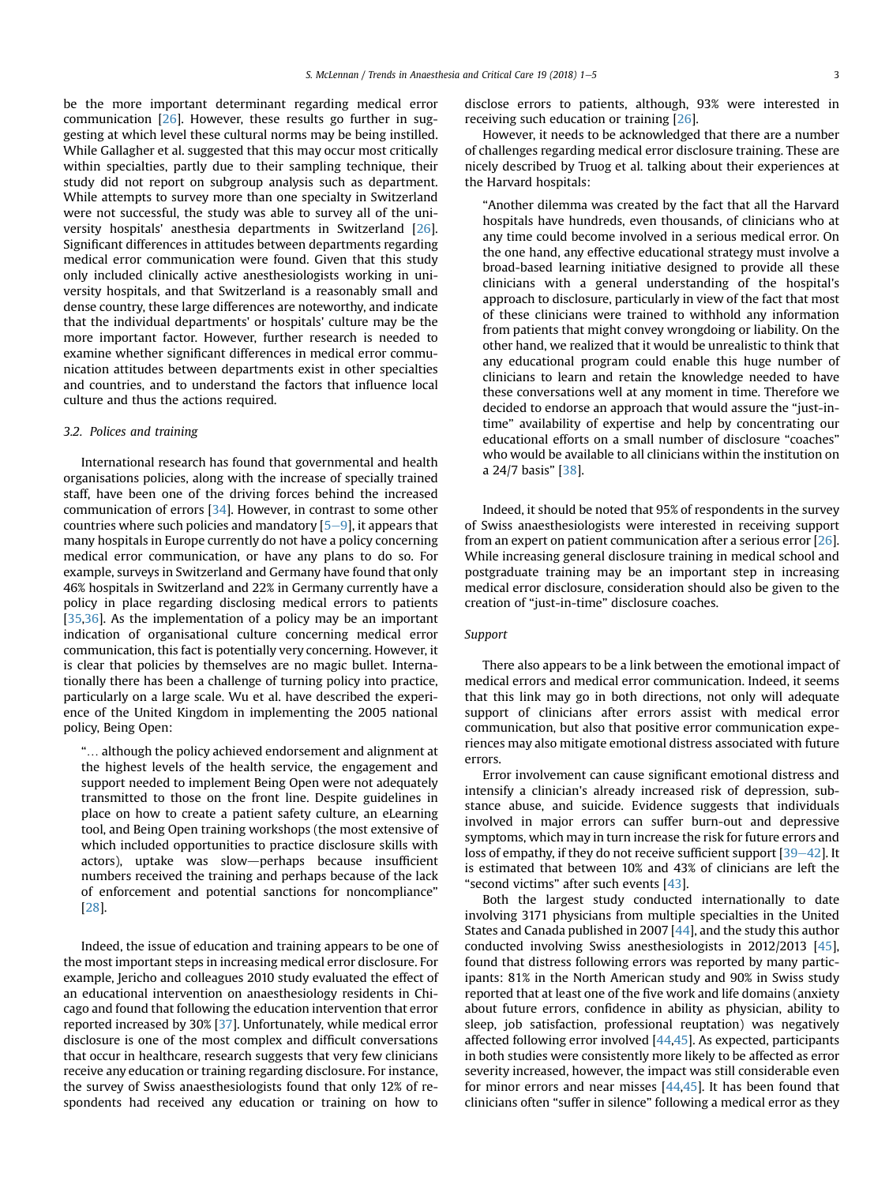be the more important determinant regarding medical error communication [[26](#page-3-0)]. However, these results go further in suggesting at which level these cultural norms may be being instilled. While Gallagher et al. suggested that this may occur most critically within specialties, partly due to their sampling technique, their study did not report on subgroup analysis such as department. While attempts to survey more than one specialty in Switzerland were not successful, the study was able to survey all of the university hospitals' anesthesia departments in Switzerland [\[26\]](#page-3-0). Significant differences in attitudes between departments regarding medical error communication were found. Given that this study only included clinically active anesthesiologists working in university hospitals, and that Switzerland is a reasonably small and dense country, these large differences are noteworthy, and indicate that the individual departments' or hospitals' culture may be the more important factor. However, further research is needed to examine whether significant differences in medical error communication attitudes between departments exist in other specialties and countries, and to understand the factors that influence local culture and thus the actions required.

#### 3.2. Polices and training

International research has found that governmental and health organisations policies, along with the increase of specially trained staff, have been one of the driving forces behind the increased communication of errors [\[34\]](#page-4-0). However, in contrast to some other countries where such policies and mandatory  $[5-9]$  $[5-9]$  $[5-9]$ , it appears that many hospitals in Europe currently do not have a policy concerning medical error communication, or have any plans to do so. For example, surveys in Switzerland and Germany have found that only 46% hospitals in Switzerland and 22% in Germany currently have a policy in place regarding disclosing medical errors to patients [\[35,36](#page-4-0)]. As the implementation of a policy may be an important indication of organisational culture concerning medical error communication, this fact is potentially very concerning. However, it is clear that policies by themselves are no magic bullet. Internationally there has been a challenge of turning policy into practice, particularly on a large scale. Wu et al. have described the experience of the United Kingdom in implementing the 2005 national policy, Being Open:

"… although the policy achieved endorsement and alignment at the highest levels of the health service, the engagement and support needed to implement Being Open were not adequately transmitted to those on the front line. Despite guidelines in place on how to create a patient safety culture, an eLearning tool, and Being Open training workshops (the most extensive of which included opportunities to practice disclosure skills with actors), uptake was slow-perhaps because insufficient numbers received the training and perhaps because of the lack of enforcement and potential sanctions for noncompliance" [\[28\]](#page-3-0).

Indeed, the issue of education and training appears to be one of the most important steps in increasing medical error disclosure. For example, Jericho and colleagues 2010 study evaluated the effect of an educational intervention on anaesthesiology residents in Chicago and found that following the education intervention that error reported increased by 30% [[37\]](#page-4-0). Unfortunately, while medical error disclosure is one of the most complex and difficult conversations that occur in healthcare, research suggests that very few clinicians receive any education or training regarding disclosure. For instance, the survey of Swiss anaesthesiologists found that only 12% of respondents had received any education or training on how to

disclose errors to patients, although, 93% were interested in receiving such education or training [[26](#page-3-0)].

However, it needs to be acknowledged that there are a number of challenges regarding medical error disclosure training. These are nicely described by Truog et al. talking about their experiences at the Harvard hospitals:

"Another dilemma was created by the fact that all the Harvard hospitals have hundreds, even thousands, of clinicians who at any time could become involved in a serious medical error. On the one hand, any effective educational strategy must involve a broad-based learning initiative designed to provide all these clinicians with a general understanding of the hospital's approach to disclosure, particularly in view of the fact that most of these clinicians were trained to withhold any information from patients that might convey wrongdoing or liability. On the other hand, we realized that it would be unrealistic to think that any educational program could enable this huge number of clinicians to learn and retain the knowledge needed to have these conversations well at any moment in time. Therefore we decided to endorse an approach that would assure the "just-intime" availability of expertise and help by concentrating our educational efforts on a small number of disclosure "coaches" who would be available to all clinicians within the institution on a 24/7 basis" [\[38\]](#page-4-0).

Indeed, it should be noted that 95% of respondents in the survey of Swiss anaesthesiologists were interested in receiving support from an expert on patient communication after a serious error [\[26\]](#page-3-0). While increasing general disclosure training in medical school and postgraduate training may be an important step in increasing medical error disclosure, consideration should also be given to the creation of "just-in-time" disclosure coaches.

## Support

There also appears to be a link between the emotional impact of medical errors and medical error communication. Indeed, it seems that this link may go in both directions, not only will adequate support of clinicians after errors assist with medical error communication, but also that positive error communication experiences may also mitigate emotional distress associated with future errors.

Error involvement can cause significant emotional distress and intensify a clinician's already increased risk of depression, substance abuse, and suicide. Evidence suggests that individuals involved in major errors can suffer burn-out and depressive symptoms, which may in turn increase the risk for future errors and loss of empathy, if they do not receive sufficient support  $[39-42]$  $[39-42]$  $[39-42]$  $[39-42]$ . It is estimated that between 10% and 43% of clinicians are left the "second victims" after such events [\[43\]](#page-4-0).

Both the largest study conducted internationally to date involving 3171 physicians from multiple specialties in the United States and Canada published in 2007 [[44](#page-4-0)], and the study this author conducted involving Swiss anesthesiologists in 2012/2013 [\[45\]](#page-4-0), found that distress following errors was reported by many participants: 81% in the North American study and 90% in Swiss study reported that at least one of the five work and life domains (anxiety about future errors, confidence in ability as physician, ability to sleep, job satisfaction, professional reuptation) was negatively affected following error involved [\[44,45](#page-4-0)]. As expected, participants in both studies were consistently more likely to be affected as error severity increased, however, the impact was still considerable even for minor errors and near misses [\[44,45](#page-4-0)]. It has been found that clinicians often "suffer in silence" following a medical error as they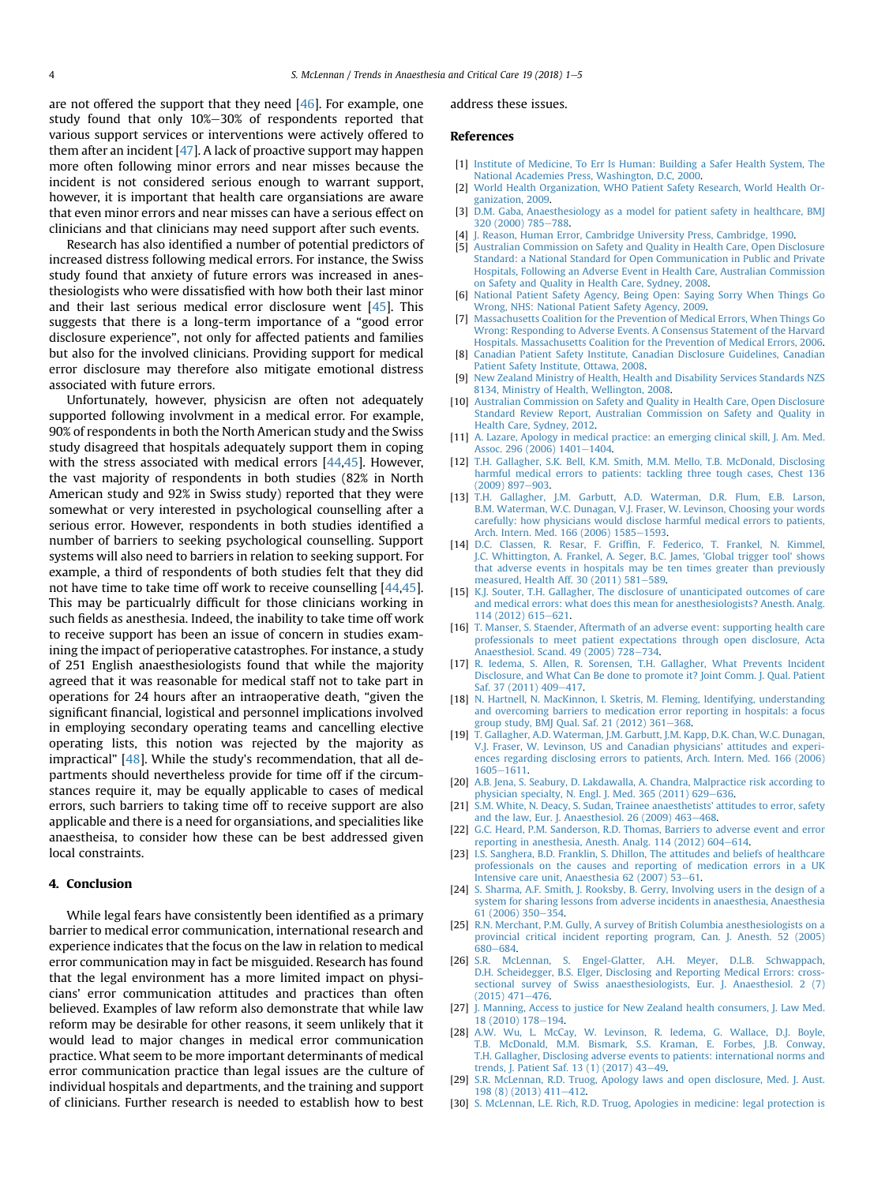<span id="page-3-0"></span>are not offered the support that they need [\[46\]](#page-4-0). For example, one study found that only  $10\% - 30\%$  of respondents reported that various support services or interventions were actively offered to them after an incident [[47\]](#page-4-0). A lack of proactive support may happen more often following minor errors and near misses because the incident is not considered serious enough to warrant support, however, it is important that health care organsiations are aware that even minor errors and near misses can have a serious effect on clinicians and that clinicians may need support after such events.

Research has also identified a number of potential predictors of increased distress following medical errors. For instance, the Swiss study found that anxiety of future errors was increased in anesthesiologists who were dissatisfied with how both their last minor and their last serious medical error disclosure went [[45\]](#page-4-0). This suggests that there is a long-term importance of a "good error disclosure experience", not only for affected patients and families but also for the involved clinicians. Providing support for medical error disclosure may therefore also mitigate emotional distress associated with future errors.

Unfortunately, however, physicisn are often not adequately supported following involvment in a medical error. For example, 90% of respondents in both the North American study and the Swiss study disagreed that hospitals adequately support them in coping with the stress associated with medical errors [\[44,45](#page-4-0)]. However, the vast majority of respondents in both studies (82% in North American study and 92% in Swiss study) reported that they were somewhat or very interested in psychological counselling after a serious error. However, respondents in both studies identified a number of barriers to seeking psychological counselling. Support systems will also need to barriers in relation to seeking support. For example, a third of respondents of both studies felt that they did not have time to take time off work to receive counselling [[44,45](#page-4-0)]. This may be particualrly difficult for those clinicians working in such fields as anesthesia. Indeed, the inability to take time off work to receive support has been an issue of concern in studies examining the impact of perioperative catastrophes. For instance, a study of 251 English anaesthesiologists found that while the majority agreed that it was reasonable for medical staff not to take part in operations for 24 hours after an intraoperative death, "given the significant financial, logistical and personnel implications involved in employing secondary operating teams and cancelling elective operating lists, this notion was rejected by the majority as impractical" [\[48\]](#page-4-0). While the study's recommendation, that all departments should nevertheless provide for time off if the circumstances require it, may be equally applicable to cases of medical errors, such barriers to taking time off to receive support are also applicable and there is a need for organsiations, and specialities like anaestheisa, to consider how these can be best addressed given local constraints.

## 4. Conclusion

While legal fears have consistently been identified as a primary barrier to medical error communication, international research and experience indicates that the focus on the law in relation to medical error communication may in fact be misguided. Research has found that the legal environment has a more limited impact on physicians' error communication attitudes and practices than often believed. Examples of law reform also demonstrate that while law reform may be desirable for other reasons, it seem unlikely that it would lead to major changes in medical error communication practice. What seem to be more important determinants of medical error communication practice than legal issues are the culture of individual hospitals and departments, and the training and support of clinicians. Further research is needed to establish how to best

#### address these issues.

#### References

- [1] [Institute of Medicine, To Err Is Human: Building a Safer Health System, The](http://refhub.elsevier.com/S2210-8440(17)30203-4/sref1) [National Academies Press, Washington, D.C, 2000](http://refhub.elsevier.com/S2210-8440(17)30203-4/sref1).
- [2] [World Health Organization, WHO Patient Safety Research, World Health Or](http://refhub.elsevier.com/S2210-8440(17)30203-4/sref2)[ganization, 2009](http://refhub.elsevier.com/S2210-8440(17)30203-4/sref2).
- [3] [D.M. Gaba, Anaesthesiology as a model for patient safety in healthcare, BMJ](http://refhub.elsevier.com/S2210-8440(17)30203-4/sref3) [320 \(2000\) 785](http://refhub.elsevier.com/S2210-8440(17)30203-4/sref3)-[788](http://refhub.elsevier.com/S2210-8440(17)30203-4/sref3).
- [J. Reason, Human Error, Cambridge University Press, Cambridge, 1990.](http://refhub.elsevier.com/S2210-8440(17)30203-4/sref4)
- [5] [Australian Commission on Safety and Quality in Health Care, Open Disclosure](http://refhub.elsevier.com/S2210-8440(17)30203-4/sref5) [Standard: a National Standard for Open Communication in Public and Private](http://refhub.elsevier.com/S2210-8440(17)30203-4/sref5) [Hospitals, Following an Adverse Event in Health Care, Australian Commission](http://refhub.elsevier.com/S2210-8440(17)30203-4/sref5) [on Safety and Quality in Health Care, Sydney, 2008](http://refhub.elsevier.com/S2210-8440(17)30203-4/sref5).
- [National Patient Safety Agency, Being Open: Saying Sorry When Things Go](http://refhub.elsevier.com/S2210-8440(17)30203-4/sref6) [Wrong, NHS: National Patient Safety Agency, 2009.](http://refhub.elsevier.com/S2210-8440(17)30203-4/sref6)
- [Massachusetts Coalition for the Prevention of Medical Errors, When Things Go](http://refhub.elsevier.com/S2210-8440(17)30203-4/sref7) [Wrong: Responding to Adverse Events. A Consensus Statement of the Harvard](http://refhub.elsevier.com/S2210-8440(17)30203-4/sref7) [Hospitals. Massachusetts Coalition for the Prevention of Medical Errors, 2006](http://refhub.elsevier.com/S2210-8440(17)30203-4/sref7).
- [8] [Canadian Patient Safety Institute, Canadian Disclosure Guidelines, Canadian](http://refhub.elsevier.com/S2210-8440(17)30203-4/sref8) [Patient Safety Institute, Ottawa, 2008.](http://refhub.elsevier.com/S2210-8440(17)30203-4/sref8)
- [9] [New Zealand Ministry of Health, Health and Disability Services Standards NZS](http://refhub.elsevier.com/S2210-8440(17)30203-4/sref9) [8134, Ministry of Health, Wellington, 2008](http://refhub.elsevier.com/S2210-8440(17)30203-4/sref9).
- [10] [Australian Commission on Safety and Quality in Health Care, Open Disclosure](http://refhub.elsevier.com/S2210-8440(17)30203-4/sref10) [Standard Review Report, Australian Commission on Safety and Quality in](http://refhub.elsevier.com/S2210-8440(17)30203-4/sref10) [Health Care, Sydney, 2012](http://refhub.elsevier.com/S2210-8440(17)30203-4/sref10).
- [11] [A. Lazare, Apology in medical practice: an emerging clinical skill, J. Am. Med.](http://refhub.elsevier.com/S2210-8440(17)30203-4/sref11) [Assoc. 296 \(2006\) 1401](http://refhub.elsevier.com/S2210-8440(17)30203-4/sref11)-1404
- [12] [T.H. Gallagher, S.K. Bell, K.M. Smith, M.M. Mello, T.B. McDonald, Disclosing](http://refhub.elsevier.com/S2210-8440(17)30203-4/sref12) [harmful medical errors to patients: tackling three tough cases, Chest 136](http://refhub.elsevier.com/S2210-8440(17)30203-4/sref12)  $(2009)$  897 $-903$  $-903$ .
- [13] [T.H. Gallagher, J.M. Garbutt, A.D. Waterman, D.R. Flum, E.B. Larson,](http://refhub.elsevier.com/S2210-8440(17)30203-4/sref13) [B.M. Waterman, W.C. Dunagan, V.J. Fraser, W. Levinson, Choosing your words](http://refhub.elsevier.com/S2210-8440(17)30203-4/sref13) [carefully: how physicians would disclose harmful medical errors to patients,](http://refhub.elsevier.com/S2210-8440(17)30203-4/sref13) [Arch. Intern. Med. 166 \(2006\) 1585](http://refhub.elsevier.com/S2210-8440(17)30203-4/sref13)-[1593.](http://refhub.elsevier.com/S2210-8440(17)30203-4/sref13)
- [14] D.C. Classen, R. Resar, F. Griffi[n, F. Federico, T. Frankel, N. Kimmel,](http://refhub.elsevier.com/S2210-8440(17)30203-4/sref14) [J.C. Whittington, A. Frankel, A. Seger, B.C. James, 'Global trigger tool' shows](http://refhub.elsevier.com/S2210-8440(17)30203-4/sref14) [that adverse events in hospitals may be ten times greater than previously](http://refhub.elsevier.com/S2210-8440(17)30203-4/sref14) measured, Health Aff. 30  $(2011)$  581-[589](http://refhub.elsevier.com/S2210-8440(17)30203-4/sref14).
- [15] [K.J. Souter, T.H. Gallagher, The disclosure of unanticipated outcomes of care](http://refhub.elsevier.com/S2210-8440(17)30203-4/sref15) [and medical errors: what does this mean for anesthesiologists? Anesth. Analg.](http://refhub.elsevier.com/S2210-8440(17)30203-4/sref15) [114 \(2012\) 615](http://refhub.elsevier.com/S2210-8440(17)30203-4/sref15)-[621.](http://refhub.elsevier.com/S2210-8440(17)30203-4/sref15)
- [16] [T. Manser, S. Staender, Aftermath of an adverse event: supporting health care](http://refhub.elsevier.com/S2210-8440(17)30203-4/sref16) [professionals to meet patient expectations through open disclosure, Acta](http://refhub.elsevier.com/S2210-8440(17)30203-4/sref16) Anaesthesiol. Scand.  $49(2005)$  728-[734.](http://refhub.elsevier.com/S2210-8440(17)30203-4/sref16)
- [17] [R. Iedema, S. Allen, R. Sorensen, T.H. Gallagher, What Prevents Incident](http://refhub.elsevier.com/S2210-8440(17)30203-4/sref17) [Disclosure, and What Can Be done to promote it? Joint Comm. J. Qual. Patient](http://refhub.elsevier.com/S2210-8440(17)30203-4/sref17) [Saf. 37 \(2011\) 409](http://refhub.elsevier.com/S2210-8440(17)30203-4/sref17)-[417.](http://refhub.elsevier.com/S2210-8440(17)30203-4/sref17)
- [18] [N. Hartnell, N. MacKinnon, I. Sketris, M. Fleming, Identifying, understanding](http://refhub.elsevier.com/S2210-8440(17)30203-4/sref18) [and overcoming barriers to medication error reporting in hospitals: a focus](http://refhub.elsevier.com/S2210-8440(17)30203-4/sref18) group study, BMJ Qual. Saf. 21  $(2012)$  361-[368](http://refhub.elsevier.com/S2210-8440(17)30203-4/sref18).
- [19] [T. Gallagher, A.D. Waterman, J.M. Garbutt, J.M. Kapp, D.K. Chan, W.C. Dunagan,](http://refhub.elsevier.com/S2210-8440(17)30203-4/sref19) [V.J. Fraser, W. Levinson, US and Canadian physicians' attitudes and experi](http://refhub.elsevier.com/S2210-8440(17)30203-4/sref19)[ences regarding disclosing errors to patients, Arch. Intern. Med. 166 \(2006\)](http://refhub.elsevier.com/S2210-8440(17)30203-4/sref19)  $1605 - 1611$  $1605 - 1611$  $1605 - 1611$
- [20] [A.B. Jena, S. Seabury, D. Lakdawalla, A. Chandra, Malpractice risk according to](http://refhub.elsevier.com/S2210-8440(17)30203-4/sref20) [physician specialty, N. Engl. J. Med. 365 \(2011\) 629](http://refhub.elsevier.com/S2210-8440(17)30203-4/sref20)-[636.](http://refhub.elsevier.com/S2210-8440(17)30203-4/sref20)
- [21] [S.M. White, N. Deacy, S. Sudan, Trainee anaesthetists' attitudes to error, safety](http://refhub.elsevier.com/S2210-8440(17)30203-4/sref21) and the law, Eur. J. Anaesthesiol.  $26$  (2009) 463-[468](http://refhub.elsevier.com/S2210-8440(17)30203-4/sref21).
- [22] [G.C. Heard, P.M. Sanderson, R.D. Thomas, Barriers to adverse event and error](http://refhub.elsevier.com/S2210-8440(17)30203-4/sref22) [reporting in anesthesia, Anesth. Analg. 114 \(2012\) 604](http://refhub.elsevier.com/S2210-8440(17)30203-4/sref22)-[614.](http://refhub.elsevier.com/S2210-8440(17)30203-4/sref22)
- [23] [I.S. Sanghera, B.D. Franklin, S. Dhillon, The attitudes and beliefs of healthcare](http://refhub.elsevier.com/S2210-8440(17)30203-4/sref23) [professionals on the causes and reporting of medication errors in a UK](http://refhub.elsevier.com/S2210-8440(17)30203-4/sref23) Intensive care unit, Anaesthesia  $62$  (2007) 53 $-61$  $-61$ .
- [24] [S. Sharma, A.F. Smith, J. Rooksby, B. Gerry, Involving users in the design of a](http://refhub.elsevier.com/S2210-8440(17)30203-4/sref24) [system for sharing lessons from adverse incidents in anaesthesia, Anaesthesia](http://refhub.elsevier.com/S2210-8440(17)30203-4/sref24)  $61 (2006) 350 - 354$  $61 (2006) 350 - 354$
- [25] [R.N. Merchant, P.M. Gully, A survey of British Columbia anesthesiologists on a](http://refhub.elsevier.com/S2210-8440(17)30203-4/sref25) [provincial critical incident reporting program, Can. J. Anesth. 52 \(2005\)](http://refhub.elsevier.com/S2210-8440(17)30203-4/sref25) [680](http://refhub.elsevier.com/S2210-8440(17)30203-4/sref25)-684
- [26] [S.R. McLennan, S. Engel-Glatter, A.H. Meyer, D.L.B. Schwappach,](http://refhub.elsevier.com/S2210-8440(17)30203-4/sref26) [D.H. Scheidegger, B.S. Elger, Disclosing and Reporting Medical Errors: cross](http://refhub.elsevier.com/S2210-8440(17)30203-4/sref26)[sectional survey of Swiss anaesthesiologists, Eur. J. Anaesthesiol. 2 \(7\)](http://refhub.elsevier.com/S2210-8440(17)30203-4/sref26)  $(2015)$  471-[476](http://refhub.elsevier.com/S2210-8440(17)30203-4/sref26).
- [27] [J. Manning, Access to justice for New Zealand health consumers, J. Law Med.](http://refhub.elsevier.com/S2210-8440(17)30203-4/sref27) [18 \(2010\) 178](http://refhub.elsevier.com/S2210-8440(17)30203-4/sref27)-[194.](http://refhub.elsevier.com/S2210-8440(17)30203-4/sref27)
- [28] [A.W. Wu, L. McCay, W. Levinson, R. Iedema, G. Wallace, D.J. Boyle,](http://refhub.elsevier.com/S2210-8440(17)30203-4/sref28) [T.B. McDonald, M.M. Bismark, S.S. Kraman, E. Forbes, J.B. Conway,](http://refhub.elsevier.com/S2210-8440(17)30203-4/sref28) [T.H. Gallagher, Disclosing adverse events to patients: international norms and](http://refhub.elsevier.com/S2210-8440(17)30203-4/sref28) [trends, J. Patient Saf. 13 \(1\) \(2017\) 43](http://refhub.elsevier.com/S2210-8440(17)30203-4/sref28)-[49](http://refhub.elsevier.com/S2210-8440(17)30203-4/sref28).
- [29] [S.R. McLennan, R.D. Truog, Apology laws and open disclosure, Med. J. Aust.](http://refhub.elsevier.com/S2210-8440(17)30203-4/sref29) [198 \(8\) \(2013\) 411](http://refhub.elsevier.com/S2210-8440(17)30203-4/sref29)-[412](http://refhub.elsevier.com/S2210-8440(17)30203-4/sref29).
- [30] [S. McLennan, L.E. Rich, R.D. Truog, Apologies in medicine: legal protection is](http://refhub.elsevier.com/S2210-8440(17)30203-4/sref30)